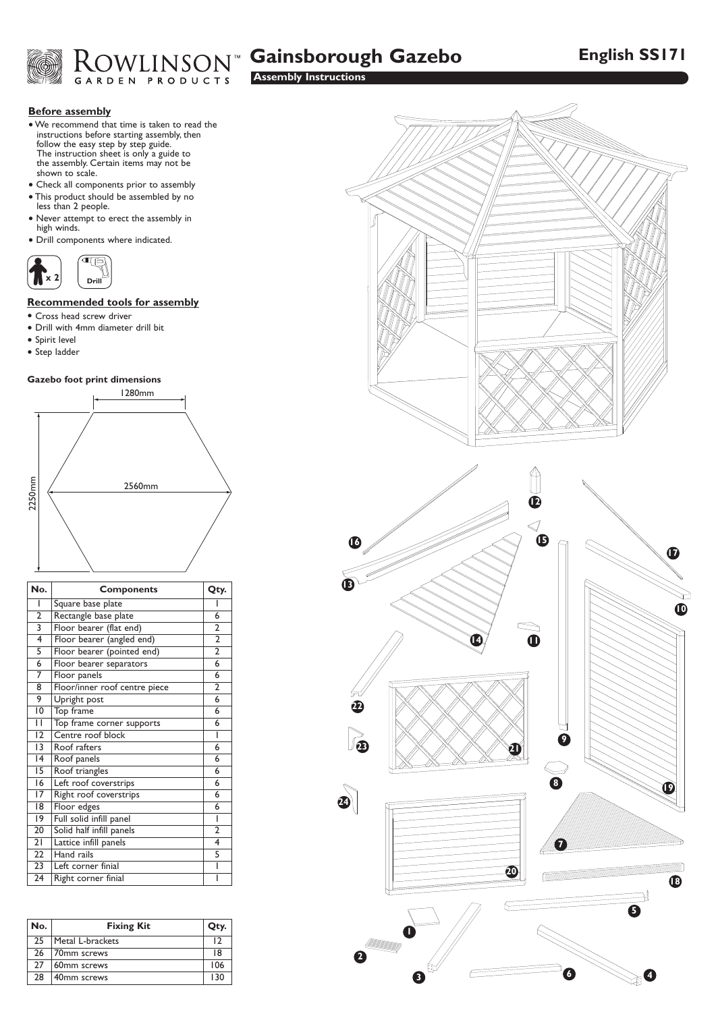



# **Assembly Instructions**

# **Before assembly**

- We recommend that time is taken to read the instructions before starting assembly, then follow the easy step by step guide. The instruction sheet is only a guide to the assembly. Certain items may not be shown to scale.
- Check all components prior to assembly
- This product should be assembled by no less than 2 people.
- Never attempt to erect the assembly in high winds.
- Drill components where indicated.



# **Recommended tools for assembly**

- Cross head screw driver
- Drill with 4mm diameter drill bit
- Spirit level
- Step ladder

# **Gazebo foot print dimensions**



| No.                       | <b>Components</b>             | Qty.           |
|---------------------------|-------------------------------|----------------|
| ı                         | Square base plate             |                |
| $\overline{2}$            | Rectangle base plate          | 6              |
| $\overline{\overline{3}}$ | Floor bearer (flat end)       | $\overline{2}$ |
| 4                         | Floor bearer (angled end)     | $\overline{2}$ |
| $\overline{5}$            | Floor bearer (pointed end)    | $\overline{2}$ |
| 6                         | Floor bearer separators       | 6              |
| 7                         | Floor panels                  | 6              |
| 8                         | Floor/inner roof centre piece | $\overline{2}$ |
| 9                         | Upright post                  | $\overline{6}$ |
| 10                        | Top frame                     | 6              |
| П                         | Top frame corner supports     | $\overline{6}$ |
| 12                        | Centre roof block             | ı              |
| $\overline{13}$           | Roof rafters                  | 6              |
| 4                         | Roof panels                   | 6              |
| 15                        | Roof triangles                | 6              |
| 16                        | Left roof coverstrips         | 6              |
| 17                        | Right roof coverstrips        | 6              |
| 18                        | Floor edges                   | 6              |
| 19                        | Full solid infill panel       | ı              |
| 20                        | Solid half infill panels      | $\overline{2}$ |
| 21                        | Lattice infill panels         | 4              |
| 22                        | Hand rails                    | 5              |
| 23                        | Left corner finial            | ı              |
| 24                        | Right corner finial           | ı              |

| No. | <b>Fixing Kit</b> | Qty. |
|-----|-------------------|------|
| 25  | Metal L-brackets  | 12   |
| 26  | 70mm screws       | 18   |
| 27  | 60mm screws       | 106  |
| 28  | 40mm screws       | 130  |

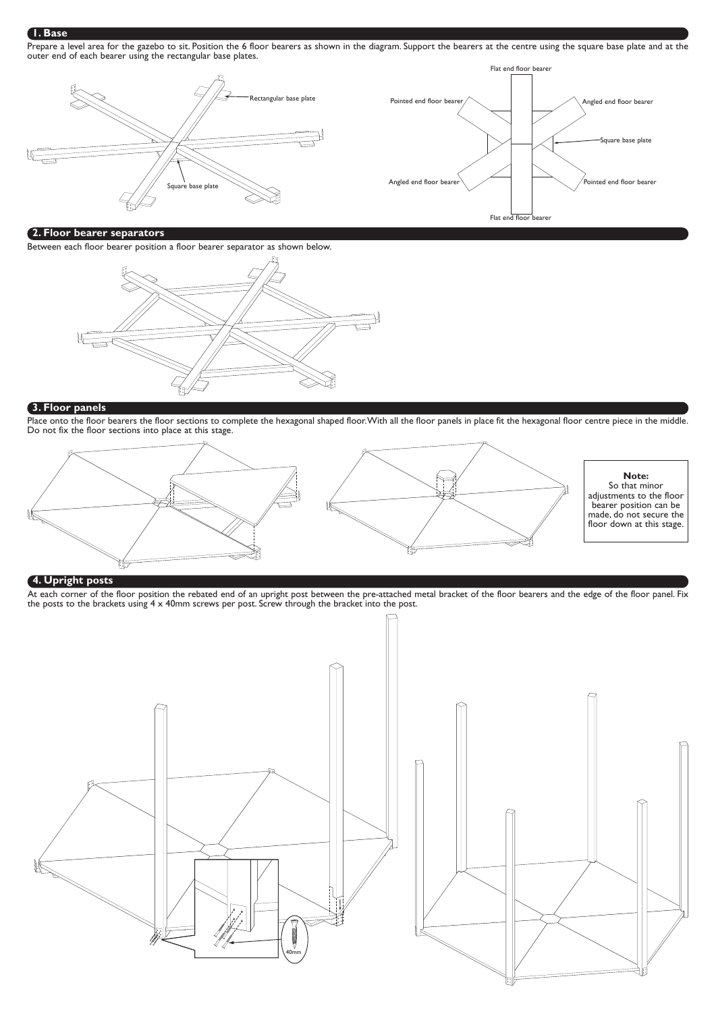# **1. Base**

Prepare a level area for the gazebo to sit. Position the 6 floor bearers as shown in the diagram. Support the bearers at the centre using the square base plate and at the outer end of each bearer using the rectangular base plates.



# **2. Floor bearer separators**

Between each floor bearer position a floor bearer separator as shown below.



#### **3. Floor panels**

Place onto the floor bearers the floor sections to complete the hexagonal shaped floor. With all the floor panels in place fit the hexagonal floor centre piece in the middle. Do not fix the floor sections into place at this stage.



# **4. Upright posts**

At each corner of the floor position the rebated end of an upright post between the pre-attached metal bracket of the floor bearers and the edge of the floor panel. Fix the posts to the brackets using  $4 \times 40$ mm screws per post. Screw through the bracket into the post.



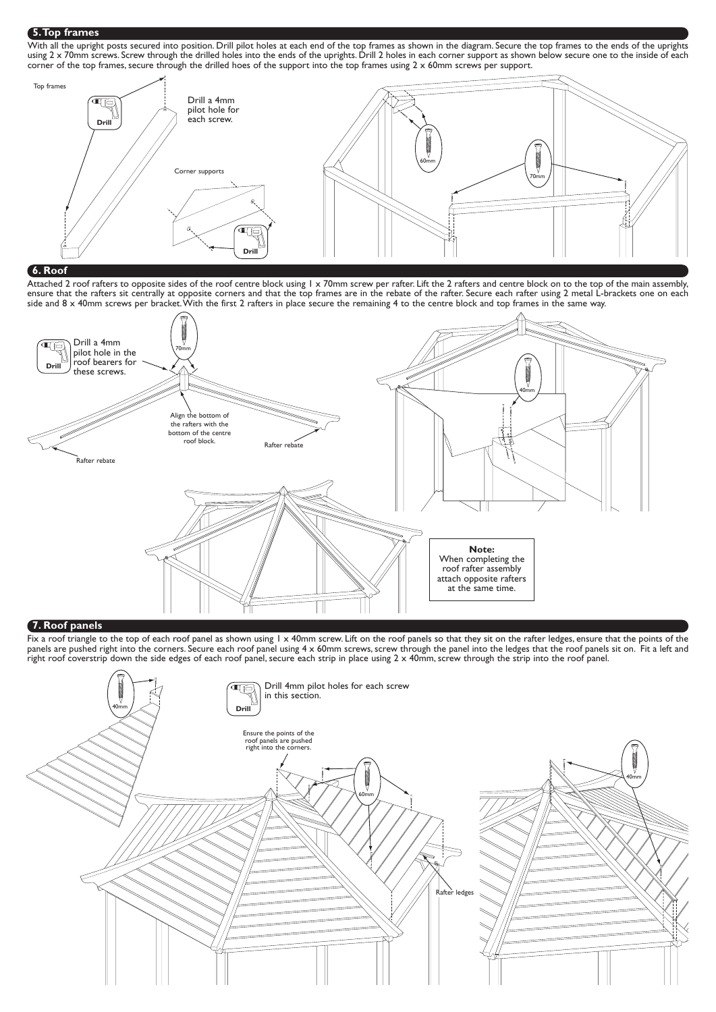#### **5.Top frames**

With all the upright posts secured into position. Drill pilot holes at each end of the top frames as shown in the diagram. Secure the top frames to the ends of the uprights using 2 x 70mm screws. Screw through the drilled holes into the ends of the uprights. Drill 2 holes in each corner support as shown below secure one to the inside of each corner of the top frames, secure through the drilled hoes of the support into the top frames using 2 x 60mm screws per support.



# **6. Roof**

Attached 2 roof rafters to opposite sides of the roof centre block using 1 x 70mm screw per rafter. Lift the 2 rafters and centre block on to the top of the main assembly, ensure that the rafters sit centrally at opposite corners and that the top frames are in the rebate of the rafter. Secure each rafter using 2 metal L-brackets one on each side and 8 x 40mm screws per bracket. With the first 2 rafters in place secure the remaining 4 to the centre block and top frames in the same way.



#### **7. Roof panels**

Fix a roof triangle to the top of each roof panel as shown using 1 x 40mm screw. Lift on the roof panels so that they sit on the rafter ledges, ensure that the points of the panels are pushed right into the corners. Secure each roof panel using 4 x 60mm screws, screw through the panel into the ledges that the roof panels sit on. Fit a left and right roof coverstrip down the side edges of each roof panel, secure each strip in place using 2 x 40mm, screw through the strip into the roof panel.

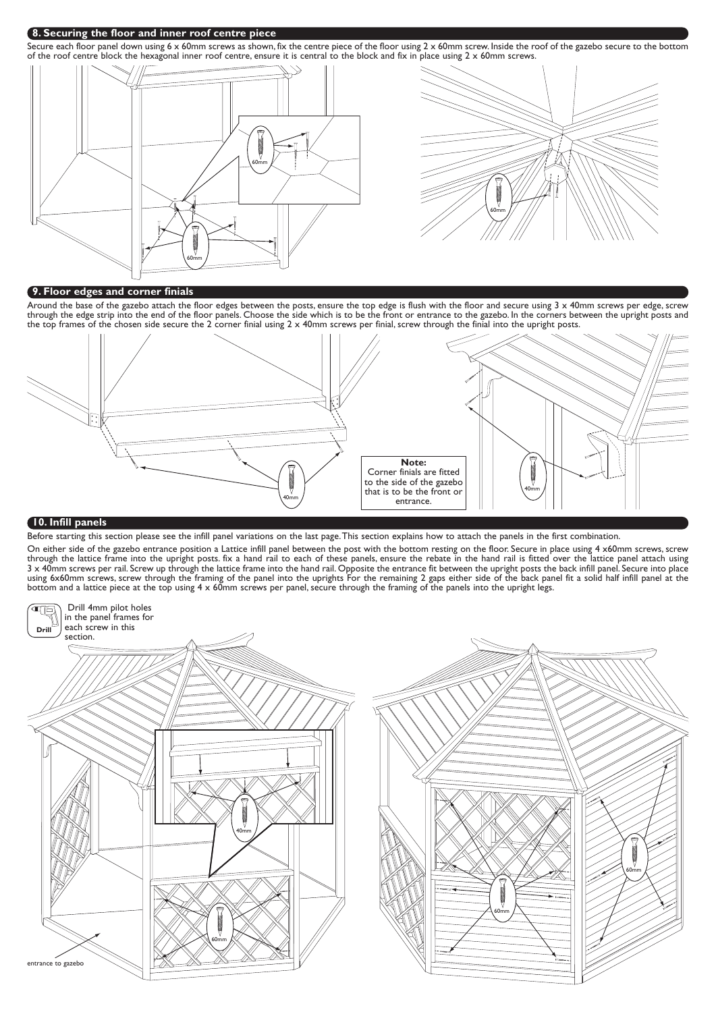#### **8. Securing the floor and inner roof centre piece**

Secure each floor panel down using 6 x 60mm screws as shown, fix the centre piece of the floor using 2 x 60mm screw. Inside the roof of the gazebo secure to the bottom of the roof centre block the hexagonal inner roof centre, ensure it is central to the block and fix in place using 2 x 60mm screws.



# **9. Floor edges and corner finials**

Around the base of the gazebo attach the floor edges between the posts, ensure the top edge is flush with the floor and secure using 3 x 40mm screws per edge, screw through the edge strip into the end of the floor panels. Choose the side which is to be the front or entrance to the gazebo. In the corners between the upright posts and the top frames of the chosen side secure the 2 corner finial using 2 x 40mm screws per finial, screw through the finial into the upright posts.



#### **10. Infill panels**

Before starting this section please see the infill panel variations on the last page.This section explains how to attach the panels in the first combination.

On either side of the gazebo entrance position a Lattice infill panel between the post with the bottom resting on the floor. Secure in place using 4 x60mm screws, screw through the lattice frame into the upright posts. fix a hand rail to each of these panels, ensure the rebate in the hand rail is fitted over the lattice panel attach using 3 x 40mm screws per rail. Screw up through the lattice frame into the hand rail. Opposite the entrance fit between the upright posts the back infill panel. Secure into place using 6x60mm screws, screw through the framing of the panel into the uprights For the remaining 2 gaps either side of the back panel fit a solid half infill panel at the bottom and a lattice piece at the top using 4 x 60mm screws per panel, secure through the framing of the panels into the upright legs.